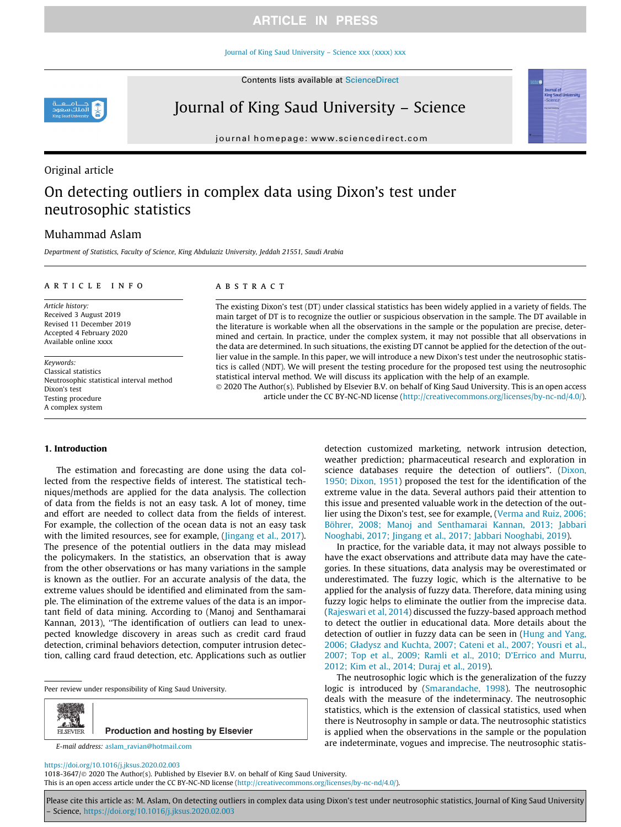### **ARTICLE IN PRESS**

[Journal of King Saud University – Science xxx \(xxxx\) xxx](https://doi.org/10.1016/j.jksus.2020.02.003)

Contents lists available at [ScienceDirect](http://www.sciencedirect.com/science/journal/10183647)



Journal of King Saud University – Science

journal homepage: [www.sciencedirect.com](http://www.sciencedirect.com)

### Original article

# On detecting outliers in complex data using Dixon's test under neutrosophic statistics

### Muhammad Aslam

Department of Statistics, Faculty of Science, King Abdulaziz University, Jeddah 21551, Saudi Arabia

#### article info

Article history: Received 3 August 2019 Revised 11 December 2019 Accepted 4 February 2020 Available online xxxx

Keywords: Classical statistics Neutrosophic statistical interval method Dixon's test Testing procedure A complex system

#### ABSTRACT

The existing Dixon's test (DT) under classical statistics has been widely applied in a variety of fields. The main target of DT is to recognize the outlier or suspicious observation in the sample. The DT available in the literature is workable when all the observations in the sample or the population are precise, determined and certain. In practice, under the complex system, it may not possible that all observations in the data are determined. In such situations, the existing DT cannot be applied for the detection of the outlier value in the sample. In this paper, we will introduce a new Dixon's test under the neutrosophic statistics is called (NDT). We will present the testing procedure for the proposed test using the neutrosophic statistical interval method. We will discuss its application with the help of an example.

 2020 The Author(s). Published by Elsevier B.V. on behalf of King Saud University. This is an open access article under the CC BY-NC-ND license (<http://creativecommons.org/licenses/by-nc-nd/4.0/>).

#### 1. Introduction

The estimation and forecasting are done using the data collected from the respective fields of interest. The statistical techniques/methods are applied for the data analysis. The collection of data from the fields is not an easy task. A lot of money, time and effort are needed to collect data from the fields of interest. For example, the collection of the ocean data is not an easy task with the limited resources, see for example, ([Jingang et al., 2017\)](#page-2-0). The presence of the potential outliers in the data may mislead the policymakers. In the statistics, an observation that is away from the other observations or has many variations in the sample is known as the outlier. For an accurate analysis of the data, the extreme values should be identified and eliminated from the sample. The elimination of the extreme values of the data is an important field of data mining. According to (Manoj and Senthamarai Kannan, 2013), "The identification of outliers can lead to unexpected knowledge discovery in areas such as credit card fraud detection, criminal behaviors detection, computer intrusion detection, calling card fraud detection, etc. Applications such as outlier

Peer review under responsibility of King Saud University.

**ELSEVIER Production and hosting by Elsevier**

E-mail address: [aslam\\_ravian@hotmail.com](mailto:aslam_ravian@hotmail.com)

#### <https://doi.org/10.1016/j.jksus.2020.02.003>

1018-3647/ 2020 The Author(s). Published by Elsevier B.V. on behalf of King Saud University.

This is an open access article under the CC BY-NC-ND license ([http://creativecommons.org/licenses/by-nc-nd/4.0/\)](http://creativecommons.org/licenses/by-nc-nd/4.0/).

Please cite this article as: M. Aslam, On detecting outliers in complex data using Dixon's test under neutrosophic statistics, Journal of King Saud University – Science, <https://doi.org/10.1016/j.jksus.2020.02.003>

detection customized marketing, network intrusion detection, weather prediction; pharmaceutical research and exploration in science databases require the detection of outliers". [\(Dixon,](#page-2-0) [1950; Dixon, 1951](#page-2-0)) proposed the test for the identification of the extreme value in the data. Several authors paid their attention to this issue and presented valuable work in the detection of the outlier using the Dixon's test, see for example, [\(Verma and Ruiz, 2006;](#page-3-0) [Böhrer, 2008; Manoj and Senthamarai Kannan, 2013; Jabbari](#page-3-0) [Nooghabi, 2017; Jingang et al., 2017; Jabbari Nooghabi, 2019\)](#page-3-0).

In practice, for the variable data, it may not always possible to have the exact observations and attribute data may have the categories. In these situations, data analysis may be overestimated or underestimated. The fuzzy logic, which is the alternative to be applied for the analysis of fuzzy data. Therefore, data mining using fuzzy logic helps to eliminate the outlier from the imprecise data. ([Rajeswari et al, 2014\)](#page-3-0) discussed the fuzzy-based approach method to detect the outlier in educational data. More details about the detection of outlier in fuzzy data can be seen in ([Hung and Yang,](#page-2-0) [2006; Gładysz and Kuchta, 2007; Cateni et al., 2007; Yousri et al.,](#page-2-0) [2007; Top et al., 2009; Ramli et al., 2010; D'Errico and Murru,](#page-2-0) [2012; Kim et al., 2014; Duraj et al., 2019](#page-2-0)).

The neutrosophic logic which is the generalization of the fuzzy logic is introduced by [\(Smarandache, 1998\)](#page-3-0). The neutrosophic deals with the measure of the indeterminacy. The neutrosophic statistics, which is the extension of classical statistics, used when there is Neutrosophy in sample or data. The neutrosophic statistics is applied when the observations in the sample or the population are indeterminate, vogues and imprecise. The neutrosophic statis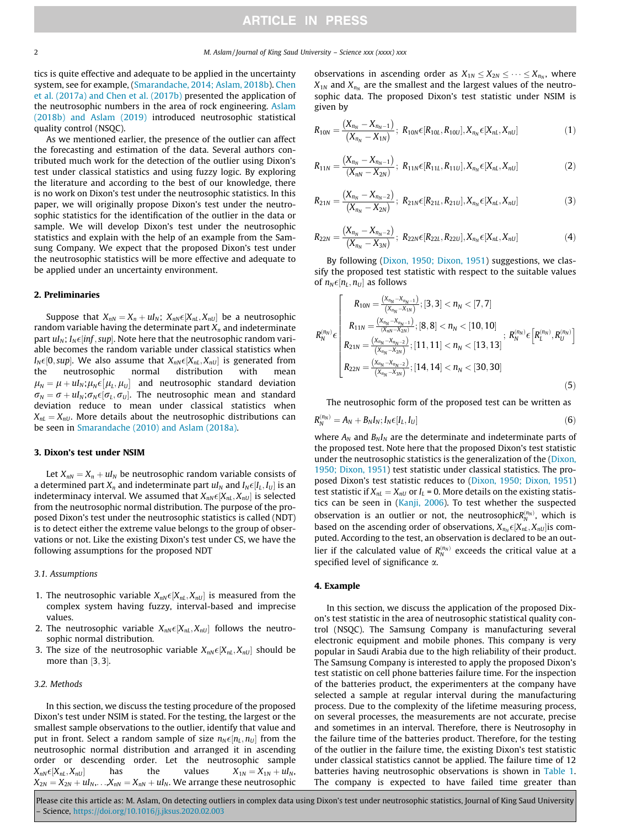<span id="page-1-0"></span>tics is quite effective and adequate to be applied in the uncertainty system, see for example, ([Smarandache, 2014; Aslam, 2018b\)](#page-3-0). [Chen](#page-2-0) [et al. \(2017a\) and Chen et al. \(2017b\)](#page-2-0) presented the application of the neutrosophic numbers in the area of rock engineering. [Aslam](#page-2-0) [\(2018b\) and Aslam \(2019\)](#page-2-0) introduced neutrosophic statistical quality control (NSQC).

As we mentioned earlier, the presence of the outlier can affect the forecasting and estimation of the data. Several authors contributed much work for the detection of the outlier using Dixon's test under classical statistics and using fuzzy logic. By exploring the literature and according to the best of our knowledge, there is no work on Dixon's test under the neutrosophic statistics. In this paper, we will originally propose Dixon's test under the neutrosophic statistics for the identification of the outlier in the data or sample. We will develop Dixon's test under the neutrosophic statistics and explain with the help of an example from the Samsung Company. We expect that the proposed Dixon's test under the neutrosophic statistics will be more effective and adequate to be applied under an uncertainty environment.

#### 2. Preliminaries

Suppose that  $X_{nN} = X_n + uI_N$ ;  $X_{nN} \in [X_{nL}, X_{nU}]$  be a neutrosophic random variable having the determinate part  $X_n$  and indeterminate part  $ul_N$ ;  $I_N \epsilon$ [inf, sup]. Note here that the neutrosophic random variable becomes the random variable under classical statistics when  $I_N \in [0, sup]$ . We also assume that  $X_{nN} \in [X_{nL}, X_{nU}]$  is generated from the neutrosophic normal distribution with mean  $\mu_{\scriptscriptstyle N} = \mu + u I_{\scriptscriptstyle N}; \mu_{\scriptscriptstyle N} \epsilon[\mu_{\scriptscriptstyle L},\mu_{\scriptscriptstyle U}]$  and neutrosophic standard deviation  $\sigma_N = \sigma + uI_N; \sigma_N \epsilon[\sigma_L, \sigma_U]$ . The neutrosophic mean and standard deviation reduce to mean under classical statistics when  $X_{nl} = X_{nl}$ . More details about the neutrosophic distributions can be seen in [Smarandache \(2010\) and Aslam \(2018a\)](#page-3-0).

#### 3. Dixon's test under NSIM

Let  $X_{nN} = X_n + uI_N$  be neutrosophic random variable consists of a determined part  $X_n$  and indeterminate part  $uI_N$  and  $I_N \epsilon [I_L, I_U]$  is an indeterminacy interval. We assumed that  $X_{nN} \in [X_{nL}, X_{nU}]$  is selected from the neutrosophic normal distribution. The purpose of the proposed Dixon's test under the neutrosophic statistics is called (NDT) is to detect either the extreme value belongs to the group of observations or not. Like the existing Dixon's test under CS, we have the following assumptions for the proposed NDT

#### 3.1. Assumptions

- 1. The neutrosophic variable  $X_{nN}\epsilon[X_{nL}, X_{nU}]$  is measured from the complex system having fuzzy, interval-based and imprecise values.
- 2. The neutrosophic variable  $X_{nN}\epsilon[X_{nL}, X_{nU}]$  follows the neutrosophic normal distribution.
- 3. The size of the neutrosophic variable  $X_{nN}\epsilon[X_{nL}, X_{nU}]$  should be more than  $[3, 3]$ .

#### 3.2. Methods

In this section, we discuss the testing procedure of the proposed Dixon's test under NSIM is stated. For the testing, the largest or the smallest sample observations to the outlier, identify that value and put in front. Select a random sample of size  $n_N \epsilon[n_L, n_U]$  from the neutrosophic normal distribution and arranged it in ascending order or descending order. Let the neutrosophic sample  $X_{nN} \epsilon [X_{nI}, X_{nII}]$ has the values  $X_{1N} = X_{1N} + uI_N$ ,  $X_{2N} = X_{2N} + uI_N, \ldots, X_{nN} = X_{nN} + uI_N$ . We arrange these neutrosophic

observations in ascending order as  $X_{1N} \leq X_{2N} \leq \cdots \leq X_{n_N}$ , where  $X_{1N}$  and  $X_{n_N}$  are the smallest and the largest values of the neutrosophic data. The proposed Dixon's test statistic under NSIM is given by

$$
R_{10N} = \frac{(X_{n_N} - X_{n_N - 1})}{(X_{n_N} - X_{1N})}; \ R_{10N} \epsilon [R_{10L}, R_{10U}], X_{n_N} \epsilon [X_{nL}, X_{nU}]
$$
 (1)

$$
R_{11N} = \frac{(X_{n_N} - X_{n_N - 1})}{(X_{nN} - X_{2N})}; \ R_{11N} \epsilon [R_{11L}, R_{11U}], X_{n_N} \epsilon [X_{nL}, X_{nU}]
$$
 (2)

$$
R_{21N} = \frac{(X_{n_N} - X_{n_N - 2})}{(X_{n_N} - X_{2N})}; \ R_{21N} \epsilon [R_{21L}, R_{21U}], X_{n_N} \epsilon [X_{nL}, X_{nU}]
$$
(3)

$$
R_{22N} = \frac{(X_{n_N} - X_{n_N - 2})}{(X_{n_N} - X_{3N})}; \ R_{22N} \epsilon [R_{22L}, R_{22U}], X_{n_N} \epsilon [X_{nL}, X_{nU}]
$$
(4)

By following ([Dixon, 1950; Dixon, 1951\)](#page-2-0) suggestions, we classify the proposed test statistic with respect to the suitable values of  $n_N \epsilon[n_L, n_U]$  as follows

$$
R_N^{(n_N)}\epsilon\begin{bmatrix}R_{10N}=\frac{(X_{n_N}-X_{n_N-1})}{(X_{n_N}-X_{1N})};[3,3](5)
$$

The neutrosophic form of the proposed test can be written as

$$
R_N^{(n_N)} = A_N + B_N I_N; I_N \in [I_L, I_U]
$$
\n(6)

where  $A_N$  and  $B_N I_N$  are the determinate and indeterminate parts of the proposed test. Note here that the proposed Dixon's test statistic under the neutrosophic statistics is the generalization of the ([Dixon,](#page-2-0) [1950; Dixon, 1951](#page-2-0)) test statistic under classical statistics. The proposed Dixon's test statistic reduces to [\(Dixon, 1950; Dixon, 1951\)](#page-2-0) test statistic if  $X_{nL} = X_{nU}$  or  $I_L = 0$ . More details on the existing statistics can be seen in [\(Kanji, 2006\)](#page-2-0). To test whether the suspected observation is an outlier or not, the neutrosophic $R_N^{(n_N)}$ , which is based on the ascending order of observations,  $X_{n_N} \epsilon [X_{nL}, X_{nU}]$  is computed. According to the test, an observation is declared to be an outlier if the calculated value of  $R_N^{(n_N)}$  exceeds the critical value at a specified level of significance  $\alpha$ .

#### 4. Example

In this section, we discuss the application of the proposed Dixon's test statistic in the area of neutrosophic statistical quality control (NSQC). The Samsung Company is manufacturing several electronic equipment and mobile phones. This company is very popular in Saudi Arabia due to the high reliability of their product. The Samsung Company is interested to apply the proposed Dixon's test statistic on cell phone batteries failure time. For the inspection of the batteries product, the experimenters at the company have selected a sample at regular interval during the manufacturing process. Due to the complexity of the lifetime measuring process, on several processes, the measurements are not accurate, precise and sometimes in an interval. Therefore, there is Neutrosophy in the failure time of the batteries product. Therefore, for the testing of the outlier in the failure time, the existing Dixon's test statistic under classical statistics cannot be applied. The failure time of 12 batteries having neutrosophic observations is shown in [Table 1.](#page-2-0) The company is expected to have failed time greater than

Please cite this article as: M. Aslam, On detecting outliers in complex data using Dixon's test under neutrosophic statistics, Journal of King Saud University – Science, <https://doi.org/10.1016/j.jksus.2020.02.003>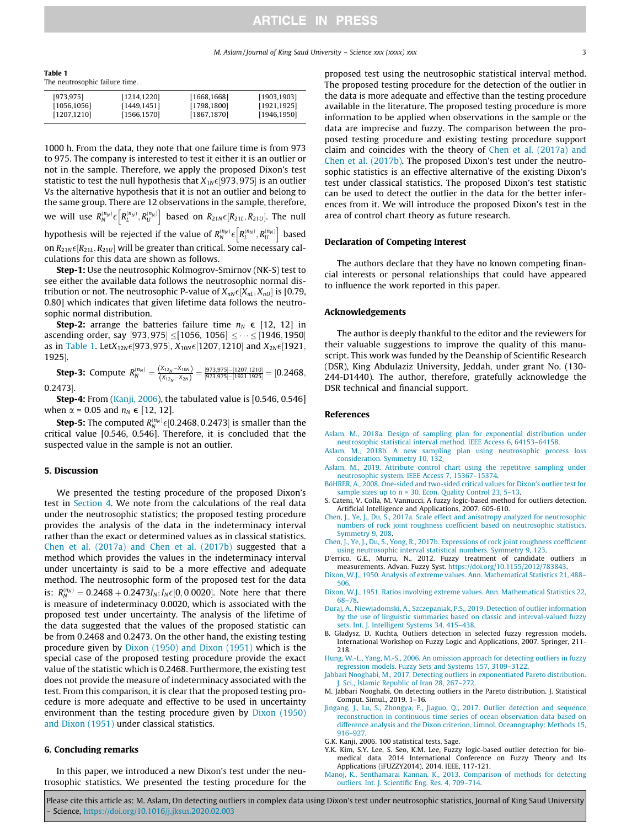## **ARTICLE IN PRESS**

<span id="page-2-0"></span>Table 1 The neutrosophic failure time.

| The neutrosophic failure time. |              |              |              |
|--------------------------------|--------------|--------------|--------------|
| [973, 975]                     | [1214, 1220] | [1668, 1668] | [1903, 1903] |
| [1056, 1056]                   | [1449, 1451] | [1798, 1800] | [1921, 1925] |
| [1207, 1210]                   | [1566, 1570] | [1867,1870]  | [1946, 1950] |

1000 h. From the data, they note that one failure time is from 973 to 975. The company is interested to test it either it is an outlier or not in the sample. Therefore, we apply the proposed Dixon's test statistic to test the null hypothesis that  $X_{1N}\in [973,975]$  is an outlier Vs the alternative hypothesis that it is not an outlier and belong to the same group. There are 12 observations in the sample, therefore, we will use  $R_N^{(n_N)} \in \left[ R_L^{(n_N)}, R_U^{(n_N)} \right]$  based on  $R_{21N} \in [R_{21L}, R_{21U}]$ . The null hypothesis will be rejected if the value of  $R_N^{(n_N)}\epsilon\left[R_L^{(n_N)},R_U^{(n_N)}\right]$  based on  $R_{21N}\epsilon[R_{21L}, R_{21U}]$  will be greater than critical. Some necessary calculations for this data are shown as follows.

Step-1: Use the neutrosophic Kolmogrov-Smirnov (NK-S) test to see either the available data follows the neutrosophic normal distribution or not. The neutrosophic P-value of  $X_{nN}\epsilon[X_{nL}, X_{nU}]$  is [0.79, 0.80] which indicates that given lifetime data follows the neutrosophic normal distribution.

**Step-2:** arrange the batteries failure time  $n_N \in [12, 12]$  in ascending order, say  $[973, 975] \leq [1056, 1056] \leq \cdots \leq [1946, 1950]$ as in Table 1. Let $X_{12N}\epsilon[973, 975]$ ,  $X_{10N}\epsilon[1207, 1210]$  and  $X_{2N}\epsilon[1921, 163]$ 1925].

**Step-3:** Compute  $R_N^{(n_N)} = \frac{(X_{12_N} - X_{10N})}{(X_{12_N} - X_{2N})} = \frac{[973,975] - [1207,1210]}{[973,975] - [1921,1925]} = [0.2468,$  $0.2473$ .

Step-4: From (Kanji, 2006), the tabulated value is [0.546, 0.546] when  $\alpha$  = 0.05 and  $n_N \in [12, 12]$ .

**Step-5:** The computed  $R_N^{(n_N)} \epsilon [0.2468, 0.2473]$  is smaller than the critical value [0.546, 0.546]. Therefore, it is concluded that the suspected value in the sample is not an outlier.

#### 5. Discussion

We presented the testing procedure of the proposed Dixon's test in [Section 4](#page-1-0). We note from the calculations of the real data under the neutrosophic statistics; the proposed testing procedure provides the analysis of the data in the indeterminacy interval rather than the exact or determined values as in classical statistics. Chen et al. (2017a) and Chen et al. (2017b) suggested that a method which provides the values in the indeterminacy interval under uncertainty is said to be a more effective and adequate method. The neutrosophic form of the proposed test for the data is:  $R_N^{(n_N)} = 0.2468 + 0.2473I_N; I_N \in [0, 0.0020]$ . Note here that there is measure of indeterminacy 0.0020, which is associated with the proposed test under uncertainty. The analysis of the lifetime of the data suggested that the values of the proposed statistic can be from 0:2468 and 0.2473. On the other hand, the existing testing procedure given by Dixon (1950) and Dixon (1951) which is the special case of the proposed testing procedure provide the exact value of the statistic which is 0.2468. Furthermore, the existing test does not provide the measure of indeterminacy associated with the test. From this comparison, it is clear that the proposed testing procedure is more adequate and effective to be used in uncertainty environment than the testing procedure given by Dixon (1950) and Dixon (1951) under classical statistics.

#### 6. Concluding remarks

In this paper, we introduced a new Dixon's test under the neutrosophic statistics. We presented the testing procedure for the

proposed test using the neutrosophic statistical interval method. The proposed testing procedure for the detection of the outlier in the data is more adequate and effective than the testing procedure available in the literature. The proposed testing procedure is more information to be applied when observations in the sample or the data are imprecise and fuzzy. The comparison between the proposed testing procedure and existing testing procedure support claim and coincides with the theory of Chen et al. (2017a) and Chen et al. (2017b). The proposed Dixon's test under the neutrosophic statistics is an effective alternative of the existing Dixon's test under classical statistics. The proposed Dixon's test statistic can be used to detect the outlier in the data for the better inferences from it. We will introduce the proposed Dixon's test in the area of control chart theory as future research.

#### Declaration of Competing Interest

The authors declare that they have no known competing financial interests or personal relationships that could have appeared to influence the work reported in this paper.

#### Acknowledgements

The author is deeply thankful to the editor and the reviewers for their valuable suggestions to improve the quality of this manuscript. This work was funded by the Deanship of Scientific Research (DSR), King Abdulaziz University, Jeddah, under grant No. (130- 244-D1440). The author, therefore, gratefully acknowledge the DSR technical and financial support.

#### References

[Aslam, M., 2018a. Design of sampling plan for exponential distribution under](http://refhub.elsevier.com/S1018-3647(20)30052-5/h0005) [neutrosophic statistical interval method. IEEE Access 6, 64153–64158.](http://refhub.elsevier.com/S1018-3647(20)30052-5/h0005)

- [Aslam, M., 2018b. A new sampling plan using neutrosophic process loss](http://refhub.elsevier.com/S1018-3647(20)30052-5/h0010) [consideration. Symmetry 10, 132](http://refhub.elsevier.com/S1018-3647(20)30052-5/h0010).
- [Aslam, M., 2019. Attribute control chart using the repetitive sampling under](http://refhub.elsevier.com/S1018-3647(20)30052-5/h0015) [neutrosophic system. IEEE Access 7, 15367–15374.](http://refhub.elsevier.com/S1018-3647(20)30052-5/h0015)
- [BöHRER, A., 2008. One-sided and two-sided critical values for Dixon's outlier test for](http://refhub.elsevier.com/S1018-3647(20)30052-5/h0020) sample sizes up to n = 30. Econ. Quality Control 23, 5-13.
- S. Cateni, V. Colla, M. Vannucci, A fuzzy logic-based method for outliers detection. Artificial Intelligence and Applications, 2007. 605-610.
- [Chen, J., Ye, J., Du, S., 2017a. Scale effect and anisotropy analyzed for neutrosophic](http://refhub.elsevier.com/S1018-3647(20)30052-5/h0030) [numbers of rock joint roughness coefficient based on neutrosophic statistics.](http://refhub.elsevier.com/S1018-3647(20)30052-5/h0030) [Symmetry 9, 208.](http://refhub.elsevier.com/S1018-3647(20)30052-5/h0030)
- [Chen, J., Ye, J., Du, S., Yong, R., 2017b. Expressions of rock joint roughness coefficient](http://refhub.elsevier.com/S1018-3647(20)30052-5/h0035) [using neutrosophic interval statistical numbers. Symmetry 9, 123](http://refhub.elsevier.com/S1018-3647(20)30052-5/h0035).
- D'errico, G.E., Murru, N., 2012. Fuzzy treatment of candidate outliers in measurements. Advan. Fuzzy Syst. <https://doi.org/10.1155/2012/783843>.
- [Dixon, W.J., 1950. Analysis of extreme values. Ann. Mathematical Statistics 21, 488–](http://refhub.elsevier.com/S1018-3647(20)30052-5/h0045) [506.](http://refhub.elsevier.com/S1018-3647(20)30052-5/h0045)
- [Dixon, W.J., 1951. Ratios involving extreme values. Ann. Mathematical Statistics 22,](http://refhub.elsevier.com/S1018-3647(20)30052-5/h0050) [68–78.](http://refhub.elsevier.com/S1018-3647(20)30052-5/h0050)
- [Duraj, A., Niewiadomski, A., Szczepaniak, P.S., 2019. Detection of outlier information](http://refhub.elsevier.com/S1018-3647(20)30052-5/h0055) [by the use of linguistic summaries based on classic and interval-valued fuzzy](http://refhub.elsevier.com/S1018-3647(20)30052-5/h0055) [sets. Int. J. Intelligent Systems 34, 415–438.](http://refhub.elsevier.com/S1018-3647(20)30052-5/h0055)
- B. Gładysz, D. Kuchta, Outliers detection in selected fuzzy regression models. International Workshop on Fuzzy Logic and Applications, 2007. Springer, 211- 218.
- [Hung, W.-L., Yang, M.-S., 2006. An omission approach for detecting outliers in fuzzy](http://refhub.elsevier.com/S1018-3647(20)30052-5/h0065) [regression models. Fuzzy Sets and Systems 157, 3109–3122.](http://refhub.elsevier.com/S1018-3647(20)30052-5/h0065)
- [Jabbari Nooghabi, M., 2017. Detecting outliers in exponentiated Pareto distribution.](http://refhub.elsevier.com/S1018-3647(20)30052-5/h0070) [J. Sci., Islamic Republic of Iran 28, 267–272](http://refhub.elsevier.com/S1018-3647(20)30052-5/h0070).
- M. Jabbari Nooghabi, On detecting outliers in the Pareto distribution. J. Statistical Comput. Simul., 2019, 1–16.
- [Jingang, J., Lu, S., Zhongya, F., Jiaguo, Q., 2017. Outlier detection and sequence](http://refhub.elsevier.com/S1018-3647(20)30052-5/h0080) [reconstruction in continuous time series of ocean observation data based on](http://refhub.elsevier.com/S1018-3647(20)30052-5/h0080) [difference analysis and the Dixon criterion. Limnol. Oceanography: Methods 15,](http://refhub.elsevier.com/S1018-3647(20)30052-5/h0080) [916–927](http://refhub.elsevier.com/S1018-3647(20)30052-5/h0080).
- G.K. Kanji, 2006. 100 statistical tests, Sage.
- Y.K. Kim, S.Y. Lee, S. Seo, K.M. Lee, Fuzzy logic-based outlier detection for biomedical data. 2014 International Conference on Fuzzy Theory and Its Applications (iFUZZY2014), 2014. IEEE, 117-121.
- [Manoj, K., Senthamarai Kannan, K., 2013. Comparison of methods for detecting](http://refhub.elsevier.com/S1018-3647(20)30052-5/h0095) [outliers. Int. J. Scientific Eng. Res. 4, 709–714.](http://refhub.elsevier.com/S1018-3647(20)30052-5/h0095)

Please cite this article as: M. Aslam, On detecting outliers in complex data using Dixon's test under neutrosophic statistics, Journal of King Saud University – Science, <https://doi.org/10.1016/j.jksus.2020.02.003>